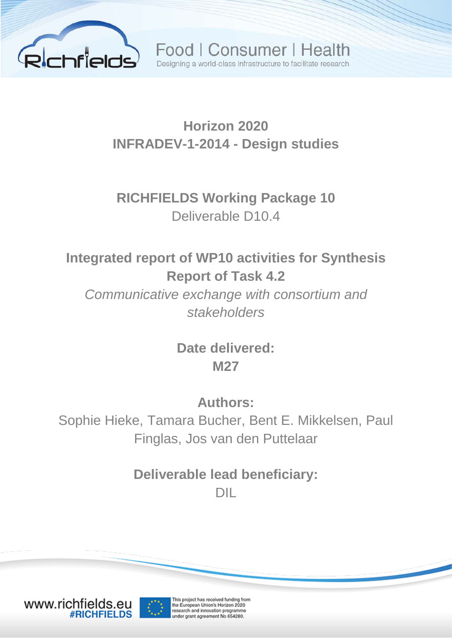

Food | Consumer | Health Designing a world-class infrastructure to facilitate research

## **Horizon 2020 INFRADEV-1-2014 - Design studies**

**RICHFIELDS Working Package 10** Deliverable D10.4

**Integrated report of WP10 activities for Synthesis Report of Task 4.2**

*Communicative exchange with consortium and stakeholders*

> **Date delivered: M27**

> > **Authors:**

Sophie Hieke, Tamara Bucher, Bent E. Mikkelsen, Paul Finglas, Jos van den Puttelaar

> **Deliverable lead beneficiary:** DIL



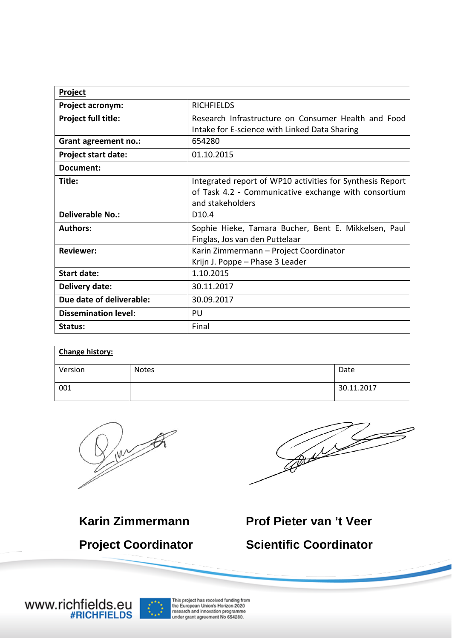| Project                     |                                                           |  |  |
|-----------------------------|-----------------------------------------------------------|--|--|
| Project acronym:            | <b>RICHFIELDS</b>                                         |  |  |
| Project full title:         | Research Infrastructure on Consumer Health and Food       |  |  |
|                             | Intake for E-science with Linked Data Sharing             |  |  |
| Grant agreement no.:        | 654280                                                    |  |  |
| <b>Project start date:</b>  | 01.10.2015                                                |  |  |
| Document:                   |                                                           |  |  |
| Title:                      | Integrated report of WP10 activities for Synthesis Report |  |  |
|                             | of Task 4.2 - Communicative exchange with consortium      |  |  |
|                             | and stakeholders                                          |  |  |
| <b>Deliverable No.:</b>     | D <sub>10.4</sub>                                         |  |  |
| <b>Authors:</b>             | Sophie Hieke, Tamara Bucher, Bent E. Mikkelsen, Paul      |  |  |
|                             | Finglas, Jos van den Puttelaar                            |  |  |
| <b>Reviewer:</b>            | Karin Zimmermann - Project Coordinator                    |  |  |
|                             | Krijn J. Poppe - Phase 3 Leader                           |  |  |
| <b>Start date:</b>          | 1.10.2015                                                 |  |  |
| Delivery date:              | 30.11.2017                                                |  |  |
| Due date of deliverable:    | 30.09.2017                                                |  |  |
| <b>Dissemination level:</b> | PU                                                        |  |  |
| Status:                     | Final                                                     |  |  |

| <b>Change history:</b> |              |            |  |
|------------------------|--------------|------------|--|
| Version                | <b>Notes</b> | Date       |  |
| 001                    |              | 30.11.2017 |  |



Company of the Company of The Company of

**Karin Zimmermann Prof Pieter van 't Veer Project Coordinator Scientific Coordinator**

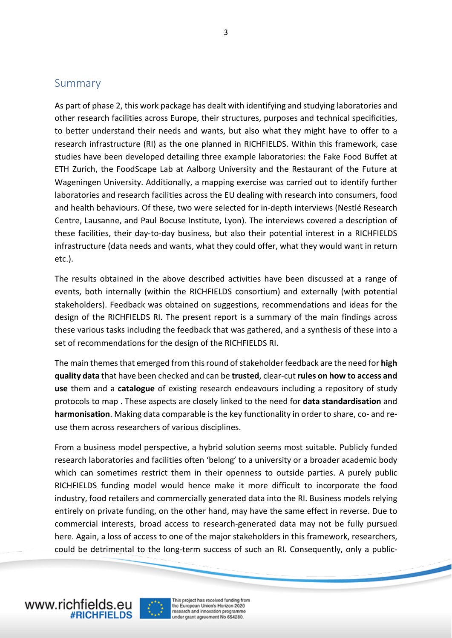#### Summary

As part of phase 2, this work package has dealt with identifying and studying laboratories and other research facilities across Europe, their structures, purposes and technical specificities, to better understand their needs and wants, but also what they might have to offer to a research infrastructure (RI) as the one planned in RICHFIELDS. Within this framework, case studies have been developed detailing three example laboratories: the Fake Food Buffet at ETH Zurich, the FoodScape Lab at Aalborg University and the Restaurant of the Future at Wageningen University. Additionally, a mapping exercise was carried out to identify further laboratories and research facilities across the EU dealing with research into consumers, food and health behaviours. Of these, two were selected for in-depth interviews (Nestlé Research Centre, Lausanne, and Paul Bocuse Institute, Lyon). The interviews covered a description of these facilities, their day-to-day business, but also their potential interest in a RICHFIELDS infrastructure (data needs and wants, what they could offer, what they would want in return etc.).

The results obtained in the above described activities have been discussed at a range of events, both internally (within the RICHFIELDS consortium) and externally (with potential stakeholders). Feedback was obtained on suggestions, recommendations and ideas for the design of the RICHFIELDS RI. The present report is a summary of the main findings across these various tasks including the feedback that was gathered, and a synthesis of these into a set of recommendations for the design of the RICHFIELDS RI.

The main themes that emerged from this round of stakeholder feedback are the need for **high quality data** that have been checked and can be **trusted**, clear-cut **rules on how to access and use** them and a **catalogue** of existing research endeavours including a repository of study protocols to map . These aspects are closely linked to the need for **data standardisation** and **harmonisation**. Making data comparable is the key functionality in order to share, co- and reuse them across researchers of various disciplines.

From a business model perspective, a hybrid solution seems most suitable. Publicly funded research laboratories and facilities often 'belong' to a university or a broader academic body which can sometimes restrict them in their openness to outside parties. A purely public RICHFIELDS funding model would hence make it more difficult to incorporate the food industry, food retailers and commercially generated data into the RI. Business models relying entirely on private funding, on the other hand, may have the same effect in reverse. Due to commercial interests, broad access to research-generated data may not be fully pursued here. Again, a loss of access to one of the major stakeholders in this framework, researchers, could be detrimental to the long-term success of such an RI. Consequently, only a public-



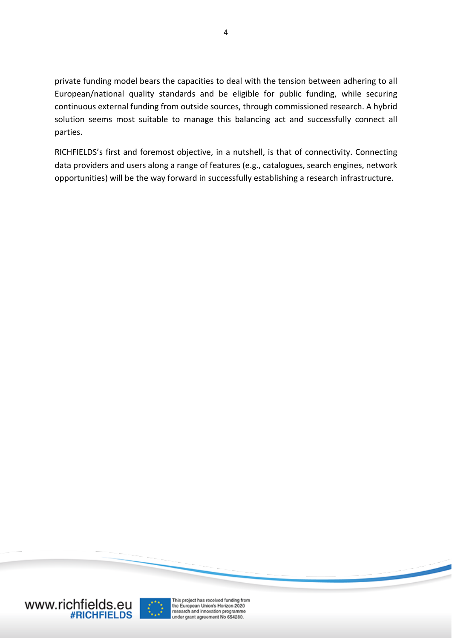private funding model bears the capacities to deal with the tension between adhering to all European/national quality standards and be eligible for public funding, while securing continuous external funding from outside sources, through commissioned research. A hybrid solution seems most suitable to manage this balancing act and successfully connect all parties.

RICHFIELDS's first and foremost objective, in a nutshell, is that of connectivity. Connecting data providers and users along a range of features (e.g., catalogues, search engines, network opportunities) will be the way forward in successfully establishing a research infrastructure.



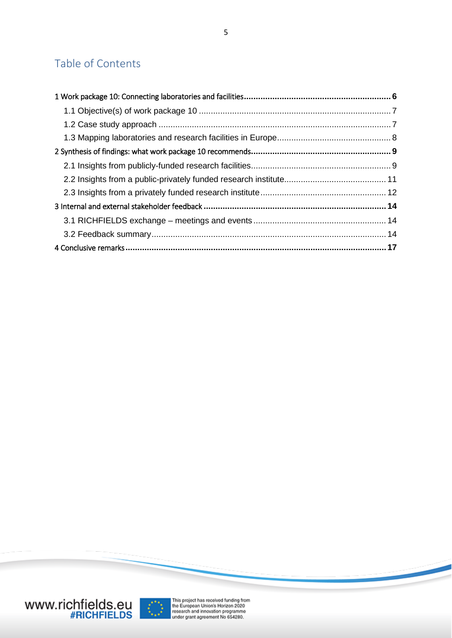### Table of Contents

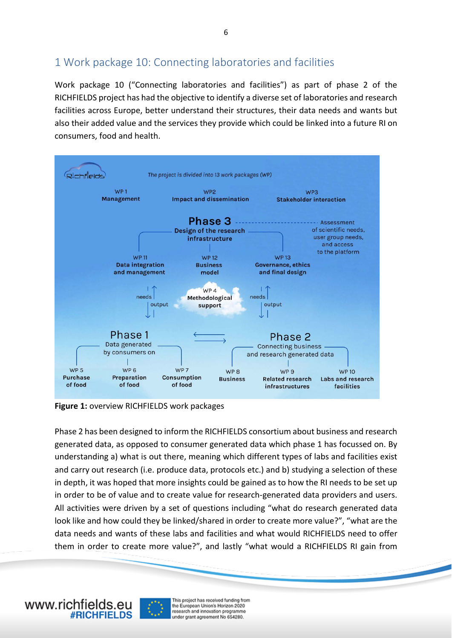#### <span id="page-5-0"></span>1 Work package 10: Connecting laboratories and facilities

Work package 10 ("Connecting laboratories and facilities") as part of phase 2 of the RICHFIELDS project has had the objective to identify a diverse set of laboratories and research facilities across Europe, better understand their structures, their data needs and wants but also their added value and the services they provide which could be linked into a future RI on consumers, food and health.



**Figure 1:** overview RICHFIELDS work packages

Phase 2 has been designed to inform the RICHFIELDS consortium about business and research generated data, as opposed to consumer generated data which phase 1 has focussed on. By understanding a) what is out there, meaning which different types of labs and facilities exist and carry out research (i.e. produce data, protocols etc.) and b) studying a selection of these in depth, it was hoped that more insights could be gained as to how the RI needs to be set up in order to be of value and to create value for research-generated data providers and users. All activities were driven by a set of questions including "what do research generated data look like and how could they be linked/shared in order to create more value?", "what are the data needs and wants of these labs and facilities and what would RICHFIELDS need to offer them in order to create more value?", and lastly "what would a RICHFIELDS RI gain from

www.richfields.eu

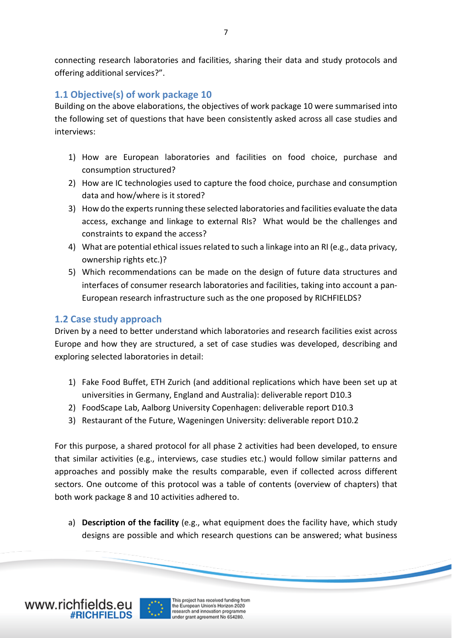connecting research laboratories and facilities, sharing their data and study protocols and offering additional services?".

#### <span id="page-6-0"></span>**1.1 Objective(s) of work package 10**

Building on the above elaborations, the objectives of work package 10 were summarised into the following set of questions that have been consistently asked across all case studies and interviews:

- 1) How are European laboratories and facilities on food choice, purchase and consumption structured?
- 2) How are IC technologies used to capture the food choice, purchase and consumption data and how/where is it stored?
- 3) How do the experts running these selected laboratories and facilities evaluate the data access, exchange and linkage to external RIs? What would be the challenges and constraints to expand the access?
- 4) What are potential ethical issues related to such a linkage into an RI (e.g., data privacy, ownership rights etc.)?
- 5) Which recommendations can be made on the design of future data structures and interfaces of consumer research laboratories and facilities, taking into account a pan-European research infrastructure such as the one proposed by RICHFIELDS?

#### <span id="page-6-1"></span>**1.2 Case study approach**

Driven by a need to better understand which laboratories and research facilities exist across Europe and how they are structured, a set of case studies was developed, describing and exploring selected laboratories in detail:

- 1) Fake Food Buffet, ETH Zurich (and additional replications which have been set up at universities in Germany, England and Australia): deliverable report D10.3
- 2) FoodScape Lab, Aalborg University Copenhagen: deliverable report D10.3
- 3) Restaurant of the Future, Wageningen University: deliverable report D10.2

For this purpose, a shared protocol for all phase 2 activities had been developed, to ensure that similar activities (e.g., interviews, case studies etc.) would follow similar patterns and approaches and possibly make the results comparable, even if collected across different sectors. One outcome of this protocol was a table of contents (overview of chapters) that both work package 8 and 10 activities adhered to.

a) **Description of the facility** (e.g., what equipment does the facility have, which study designs are possible and which research questions can be answered; what business



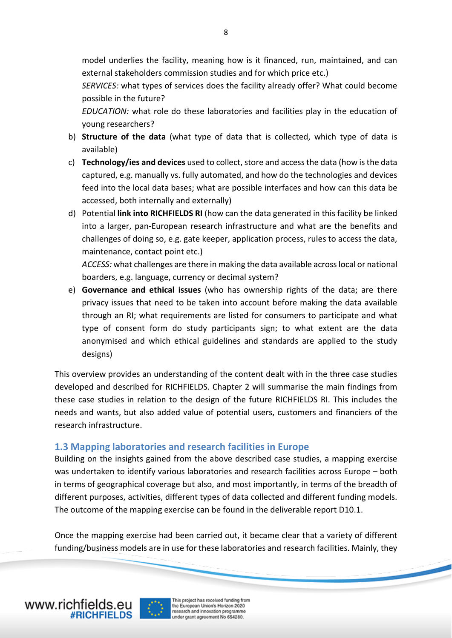model underlies the facility, meaning how is it financed, run, maintained, and can external stakeholders commission studies and for which price etc.)

*SERVICES:* what types of services does the facility already offer? What could become possible in the future?

*EDUCATION:* what role do these laboratories and facilities play in the education of young researchers?

- b) **Structure of the data** (what type of data that is collected, which type of data is available)
- c) **Technology/ies and devices** used to collect, store and access the data (how is the data captured, e.g. manually vs. fully automated, and how do the technologies and devices feed into the local data bases; what are possible interfaces and how can this data be accessed, both internally and externally)
- d) Potential **link into RICHFIELDS RI** (how can the data generated in this facility be linked into a larger, pan-European research infrastructure and what are the benefits and challenges of doing so, e.g. gate keeper, application process, rules to access the data, maintenance, contact point etc.)

*ACCESS:* what challenges are there in making the data available across local or national boarders, e.g. language, currency or decimal system?

e) **Governance and ethical issues** (who has ownership rights of the data; are there privacy issues that need to be taken into account before making the data available through an RI; what requirements are listed for consumers to participate and what type of consent form do study participants sign; to what extent are the data anonymised and which ethical guidelines and standards are applied to the study designs)

This overview provides an understanding of the content dealt with in the three case studies developed and described for RICHFIELDS. Chapter 2 will summarise the main findings from these case studies in relation to the design of the future RICHFIELDS RI. This includes the needs and wants, but also added value of potential users, customers and financiers of the research infrastructure.

#### <span id="page-7-0"></span>**1.3 Mapping laboratories and research facilities in Europe**

Building on the insights gained from the above described case studies, a mapping exercise was undertaken to identify various laboratories and research facilities across Europe – both in terms of geographical coverage but also, and most importantly, in terms of the breadth of different purposes, activities, different types of data collected and different funding models. The outcome of the mapping exercise can be found in the deliverable report D10.1.

Once the mapping exercise had been carried out, it became clear that a variety of different funding/business models are in use for these laboratories and research facilities. Mainly, they

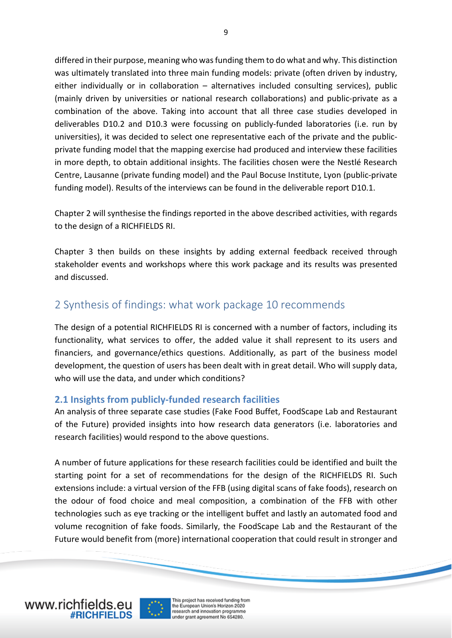differed in their purpose, meaning who was funding them to do what and why. This distinction was ultimately translated into three main funding models: private (often driven by industry, either individually or in collaboration – alternatives included consulting services), public (mainly driven by universities or national research collaborations) and public-private as a combination of the above. Taking into account that all three case studies developed in deliverables D10.2 and D10.3 were focussing on publicly-funded laboratories (i.e. run by universities), it was decided to select one representative each of the private and the publicprivate funding model that the mapping exercise had produced and interview these facilities in more depth, to obtain additional insights. The facilities chosen were the Nestlé Research Centre, Lausanne (private funding model) and the Paul Bocuse Institute, Lyon (public-private funding model). Results of the interviews can be found in the deliverable report D10.1.

Chapter 2 will synthesise the findings reported in the above described activities, with regards to the design of a RICHFIELDS RI.

Chapter 3 then builds on these insights by adding external feedback received through stakeholder events and workshops where this work package and its results was presented and discussed.

#### <span id="page-8-0"></span>2 Synthesis of findings: what work package 10 recommends

The design of a potential RICHFIELDS RI is concerned with a number of factors, including its functionality, what services to offer, the added value it shall represent to its users and financiers, and governance/ethics questions. Additionally, as part of the business model development, the question of users has been dealt with in great detail. Who will supply data, who will use the data, and under which conditions?

#### <span id="page-8-1"></span>**2.1 Insights from publicly-funded research facilities**

An analysis of three separate case studies (Fake Food Buffet, FoodScape Lab and Restaurant of the Future) provided insights into how research data generators (i.e. laboratories and research facilities) would respond to the above questions.

A number of future applications for these research facilities could be identified and built the starting point for a set of recommendations for the design of the RICHFIELDS RI. Such extensions include: a virtual version of the FFB (using digital scans of fake foods), research on the odour of food choice and meal composition, a combination of the FFB with other technologies such as eye tracking or the intelligent buffet and lastly an automated food and volume recognition of fake foods. Similarly, the FoodScape Lab and the Restaurant of the Future would benefit from (more) international cooperation that could result in stronger and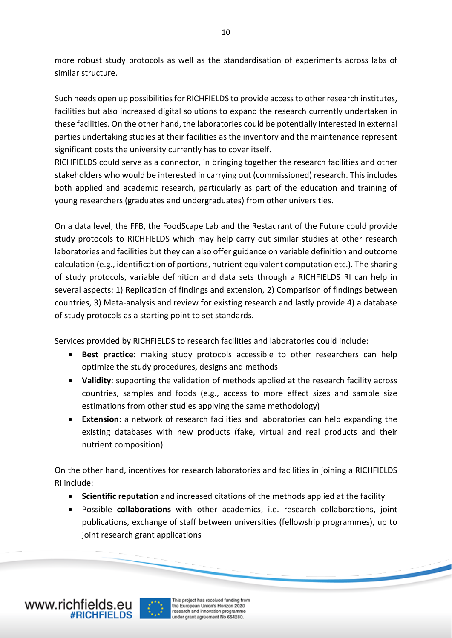more robust study protocols as well as the standardisation of experiments across labs of similar structure.

Such needs open up possibilities for RICHFIELDS to provide access to other research institutes, facilities but also increased digital solutions to expand the research currently undertaken in these facilities. On the other hand, the laboratories could be potentially interested in external parties undertaking studies at their facilities as the inventory and the maintenance represent significant costs the university currently has to cover itself.

RICHFIELDS could serve as a connector, in bringing together the research facilities and other stakeholders who would be interested in carrying out (commissioned) research. This includes both applied and academic research, particularly as part of the education and training of young researchers (graduates and undergraduates) from other universities.

On a data level, the FFB, the FoodScape Lab and the Restaurant of the Future could provide study protocols to RICHFIELDS which may help carry out similar studies at other research laboratories and facilities but they can also offer guidance on variable definition and outcome calculation (e.g., identification of portions, nutrient equivalent computation etc.). The sharing of study protocols, variable definition and data sets through a RICHFIELDS RI can help in several aspects: 1) Replication of findings and extension, 2) Comparison of findings between countries, 3) Meta-analysis and review for existing research and lastly provide 4) a database of study protocols as a starting point to set standards.

Services provided by RICHFIELDS to research facilities and laboratories could include:

- **Best practice**: making study protocols accessible to other researchers can help optimize the study procedures, designs and methods
- **Validity**: supporting the validation of methods applied at the research facility across countries, samples and foods (e.g., access to more effect sizes and sample size estimations from other studies applying the same methodology)
- **Extension**: a network of research facilities and laboratories can help expanding the existing databases with new products (fake, virtual and real products and their nutrient composition)

On the other hand, incentives for research laboratories and facilities in joining a RICHFIELDS RI include:

- **Scientific reputation** and increased citations of the methods applied at the facility
- Possible **collaborations** with other academics, i.e. research collaborations, joint publications, exchange of staff between universities (fellowship programmes), up to joint research grant applications



10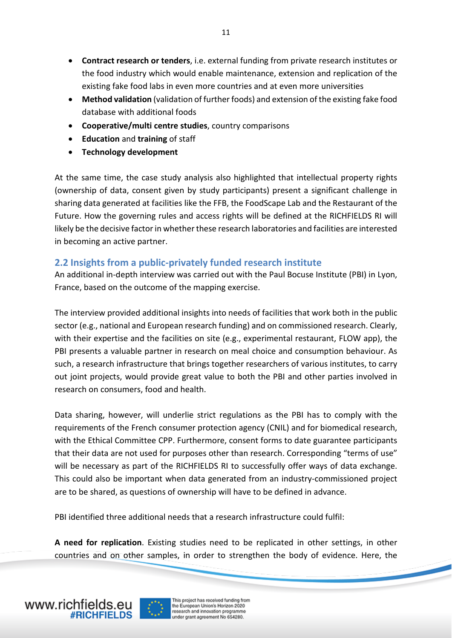- **Contract research or tenders**, i.e. external funding from private research institutes or the food industry which would enable maintenance, extension and replication of the existing fake food labs in even more countries and at even more universities
- **Method validation** (validation of further foods) and extension of the existing fake food database with additional foods
- **Cooperative/multi centre studies**, country comparisons
- **Education** and **training** of staff
- **Technology development**

At the same time, the case study analysis also highlighted that intellectual property rights (ownership of data, consent given by study participants) present a significant challenge in sharing data generated at facilities like the FFB, the FoodScape Lab and the Restaurant of the Future. How the governing rules and access rights will be defined at the RICHFIELDS RI will likely be the decisive factor in whether these research laboratories and facilities are interested in becoming an active partner.

#### <span id="page-10-0"></span>**2.2 Insights from a public-privately funded research institute**

An additional in-depth interview was carried out with the Paul Bocuse Institute (PBI) in Lyon, France, based on the outcome of the mapping exercise.

The interview provided additional insights into needs of facilities that work both in the public sector (e.g., national and European research funding) and on commissioned research. Clearly, with their expertise and the facilities on site (e.g., experimental restaurant, FLOW app), the PBI presents a valuable partner in research on meal choice and consumption behaviour. As such, a research infrastructure that brings together researchers of various institutes, to carry out joint projects, would provide great value to both the PBI and other parties involved in research on consumers, food and health.

Data sharing, however, will underlie strict regulations as the PBI has to comply with the requirements of the French consumer protection agency (CNIL) and for biomedical research, with the Ethical Committee CPP. Furthermore, consent forms to date guarantee participants that their data are not used for purposes other than research. Corresponding "terms of use" will be necessary as part of the RICHFIELDS RI to successfully offer ways of data exchange. This could also be important when data generated from an industry-commissioned project are to be shared, as questions of ownership will have to be defined in advance.

PBI identified three additional needs that a research infrastructure could fulfil:

**A need for replication**. Existing studies need to be replicated in other settings, in other countries and on other samples, in order to strengthen the body of evidence. Here, the

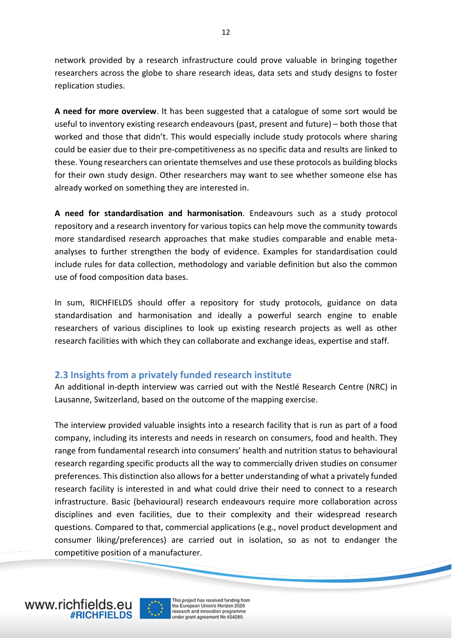network provided by a research infrastructure could prove valuable in bringing together researchers across the globe to share research ideas, data sets and study designs to foster replication studies.

**A need for more overview**. It has been suggested that a catalogue of some sort would be useful to inventory existing research endeavours (past, present and future) – both those that worked and those that didn't. This would especially include study protocols where sharing could be easier due to their pre-competitiveness as no specific data and results are linked to these. Young researchers can orientate themselves and use these protocols as building blocks for their own study design. Other researchers may want to see whether someone else has already worked on something they are interested in.

**A need for standardisation and harmonisation**. Endeavours such as a study protocol repository and a research inventory for various topics can help move the community towards more standardised research approaches that make studies comparable and enable metaanalyses to further strengthen the body of evidence. Examples for standardisation could include rules for data collection, methodology and variable definition but also the common use of food composition data bases.

In sum, RICHFIELDS should offer a repository for study protocols, guidance on data standardisation and harmonisation and ideally a powerful search engine to enable researchers of various disciplines to look up existing research projects as well as other research facilities with which they can collaborate and exchange ideas, expertise and staff.

#### <span id="page-11-0"></span>**2.3 Insights from a privately funded research institute**

An additional in-depth interview was carried out with the Nestlé Research Centre (NRC) in Lausanne, Switzerland, based on the outcome of the mapping exercise.

The interview provided valuable insights into a research facility that is run as part of a food company, including its interests and needs in research on consumers, food and health. They range from fundamental research into consumers' health and nutrition status to behavioural research regarding specific products all the way to commercially driven studies on consumer preferences. This distinction also allows for a better understanding of what a privately funded research facility is interested in and what could drive their need to connect to a research infrastructure. Basic (behavioural) research endeavours require more collaboration across disciplines and even facilities, due to their complexity and their widespread research questions. Compared to that, commercial applications (e.g., novel product development and consumer liking/preferences) are carried out in isolation, so as not to endanger the competitive position of a manufacturer.

www.richfields.eu

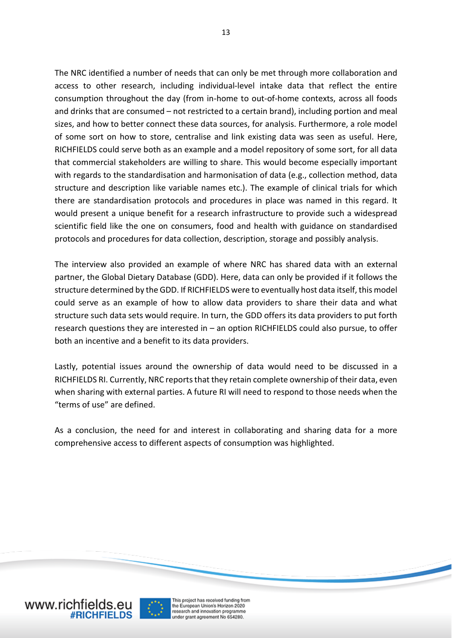The NRC identified a number of needs that can only be met through more collaboration and access to other research, including individual-level intake data that reflect the entire consumption throughout the day (from in-home to out-of-home contexts, across all foods and drinks that are consumed – not restricted to a certain brand), including portion and meal sizes, and how to better connect these data sources, for analysis. Furthermore, a role model of some sort on how to store, centralise and link existing data was seen as useful. Here, RICHFIELDS could serve both as an example and a model repository of some sort, for all data that commercial stakeholders are willing to share. This would become especially important with regards to the standardisation and harmonisation of data (e.g., collection method, data structure and description like variable names etc.). The example of clinical trials for which there are standardisation protocols and procedures in place was named in this regard. It would present a unique benefit for a research infrastructure to provide such a widespread scientific field like the one on consumers, food and health with guidance on standardised protocols and procedures for data collection, description, storage and possibly analysis.

The interview also provided an example of where NRC has shared data with an external partner, the Global Dietary Database (GDD). Here, data can only be provided if it follows the structure determined by the GDD. If RICHFIELDS were to eventually host data itself, this model could serve as an example of how to allow data providers to share their data and what structure such data sets would require. In turn, the GDD offers its data providers to put forth research questions they are interested in – an option RICHFIELDS could also pursue, to offer both an incentive and a benefit to its data providers.

Lastly, potential issues around the ownership of data would need to be discussed in a RICHFIELDS RI. Currently, NRC reports that they retain complete ownership of their data, even when sharing with external parties. A future RI will need to respond to those needs when the "terms of use" are defined.

As a conclusion, the need for and interest in collaborating and sharing data for a more comprehensive access to different aspects of consumption was highlighted.



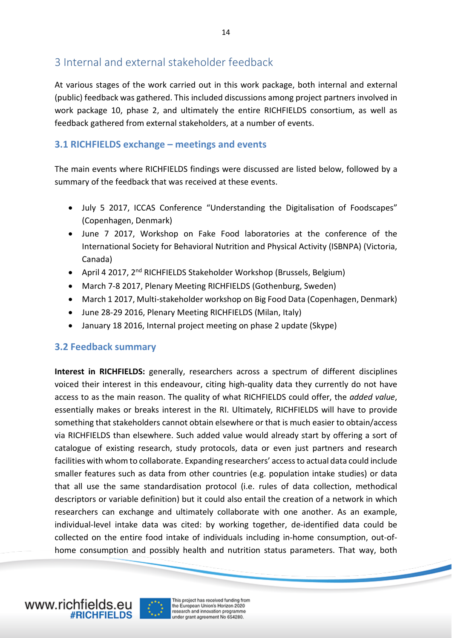#### <span id="page-13-0"></span>3 Internal and external stakeholder feedback

At various stages of the work carried out in this work package, both internal and external (public) feedback was gathered. This included discussions among project partners involved in work package 10, phase 2, and ultimately the entire RICHFIELDS consortium, as well as feedback gathered from external stakeholders, at a number of events.

#### <span id="page-13-1"></span>**3.1 RICHFIELDS exchange – meetings and events**

The main events where RICHFIELDS findings were discussed are listed below, followed by a summary of the feedback that was received at these events.

- July 5 2017, ICCAS Conference "Understanding the Digitalisation of Foodscapes" (Copenhagen, Denmark)
- June 7 2017, Workshop on Fake Food laboratories at the conference of the International Society for Behavioral Nutrition and Physical Activity (ISBNPA) (Victoria, Canada)
- April 4 2017, 2<sup>nd</sup> RICHFIELDS Stakeholder Workshop (Brussels, Belgium)
- March 7-8 2017, Plenary Meeting RICHFIELDS (Gothenburg, Sweden)
- March 1 2017, Multi-stakeholder workshop on Big Food Data (Copenhagen, Denmark)
- June 28-29 2016, Plenary Meeting RICHFIELDS (Milan, Italy)
- January 18 2016, Internal project meeting on phase 2 update (Skype)

#### <span id="page-13-2"></span>**3.2 Feedback summary**

**Interest in RICHFIELDS:** generally, researchers across a spectrum of different disciplines voiced their interest in this endeavour, citing high-quality data they currently do not have access to as the main reason. The quality of what RICHFIELDS could offer, the *added value*, essentially makes or breaks interest in the RI. Ultimately, RICHFIELDS will have to provide something that stakeholders cannot obtain elsewhere or that is much easier to obtain/access via RICHFIELDS than elsewhere. Such added value would already start by offering a sort of catalogue of existing research, study protocols, data or even just partners and research facilities with whom to collaborate. Expanding researchers' access to actual data could include smaller features such as data from other countries (e.g. population intake studies) or data that all use the same standardisation protocol (i.e. rules of data collection, methodical descriptors or variable definition) but it could also entail the creation of a network in which researchers can exchange and ultimately collaborate with one another. As an example, individual-level intake data was cited: by working together, de-identified data could be collected on the entire food intake of individuals including in-home consumption, out-ofhome consumption and possibly health and nutrition status parameters. That way, both



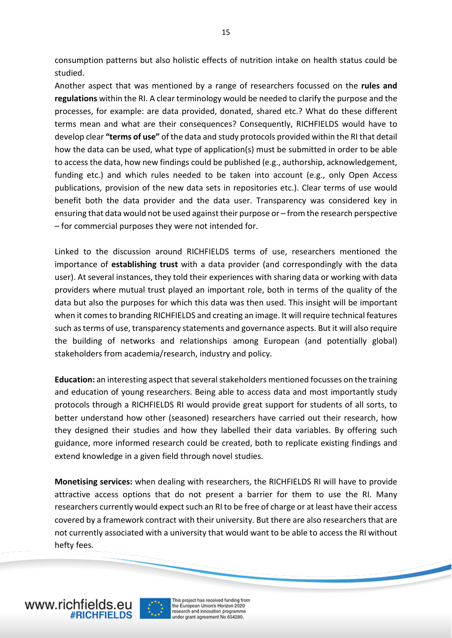consumption patterns but also holistic effects of nutrition intake on health status could be studied.

Another aspect that was mentioned by a range of researchers focussed on the **rules and regulations** within the RI. A clear terminology would be needed to clarify the purpose and the processes, for example: are data provided, donated, shared etc.? What do these different terms mean and what are their consequences? Consequently, RICHFIELDS would have to develop clear **"terms of use"** of the data and study protocols provided within the RI that detail how the data can be used, what type of application(s) must be submitted in order to be able to access the data, how new findings could be published (e.g., authorship, acknowledgement, funding etc.) and which rules needed to be taken into account (e.g., only Open Access publications, provision of the new data sets in repositories etc.). Clear terms of use would benefit both the data provider and the data user. Transparency was considered key in ensuring that data would not be used against their purpose or – from the research perspective – for commercial purposes they were not intended for.

Linked to the discussion around RICHFIELDS terms of use, researchers mentioned the importance of **establishing trust** with a data provider (and correspondingly with the data user). At several instances, they told their experiences with sharing data or working with data providers where mutual trust played an important role, both in terms of the quality of the data but also the purposes for which this data was then used. This insight will be important when it comes to branding RICHFIELDS and creating an image. It will require technical features such as terms of use, transparency statements and governance aspects. But it will also require the building of networks and relationships among European (and potentially global) stakeholders from academia/research, industry and policy.

**Education:** an interesting aspect that several stakeholders mentioned focusses on the training and education of young researchers. Being able to access data and most importantly study protocols through a RICHFIELDS RI would provide great support for students of all sorts, to better understand how other (seasoned) researchers have carried out their research, how they designed their studies and how they labelled their data variables. By offering such guidance, more informed research could be created, both to replicate existing findings and extend knowledge in a given field through novel studies.

**Monetising services:** when dealing with researchers, the RICHFIELDS RI will have to provide attractive access options that do not present a barrier for them to use the RI. Many researchers currently would expect such an RI to be free of charge or at least have their access covered by a framework contract with their university. But there are also researchers that are not currently associated with a university that would want to be able to access the RI without hefty fees.

www.richfields.eu

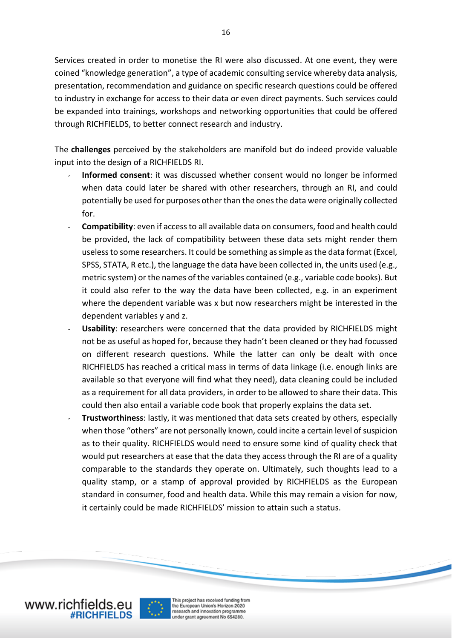Services created in order to monetise the RI were also discussed. At one event, they were coined "knowledge generation", a type of academic consulting service whereby data analysis, presentation, recommendation and guidance on specific research questions could be offered to industry in exchange for access to their data or even direct payments. Such services could be expanded into trainings, workshops and networking opportunities that could be offered through RICHFIELDS, to better connect research and industry.

The **challenges** perceived by the stakeholders are manifold but do indeed provide valuable input into the design of a RICHFIELDS RI.

- Informed consent: it was discussed whether consent would no longer be informed when data could later be shared with other researchers, through an RI, and could potentially be used for purposes other than the ones the data were originally collected for.
- **Compatibility**: even if access to all available data on consumers, food and health could be provided, the lack of compatibility between these data sets might render them useless to some researchers. It could be something as simple as the data format (Excel, SPSS, STATA, R etc.), the language the data have been collected in, the units used (e.g., metric system) or the names of the variables contained (e.g., variable code books). But it could also refer to the way the data have been collected, e.g. in an experiment where the dependent variable was x but now researchers might be interested in the dependent variables y and z.
- **Usability**: researchers were concerned that the data provided by RICHFIELDS might not be as useful as hoped for, because they hadn't been cleaned or they had focussed on different research questions. While the latter can only be dealt with once RICHFIELDS has reached a critical mass in terms of data linkage (i.e. enough links are available so that everyone will find what they need), data cleaning could be included as a requirement for all data providers, in order to be allowed to share their data. This could then also entail a variable code book that properly explains the data set.
- **Trustworthiness**: lastly, it was mentioned that data sets created by others, especially when those "others" are not personally known, could incite a certain level of suspicion as to their quality. RICHFIELDS would need to ensure some kind of quality check that would put researchers at ease that the data they access through the RI are of a quality comparable to the standards they operate on. Ultimately, such thoughts lead to a quality stamp, or a stamp of approval provided by RICHFIELDS as the European standard in consumer, food and health data. While this may remain a vision for now, it certainly could be made RICHFIELDS' mission to attain such a status.